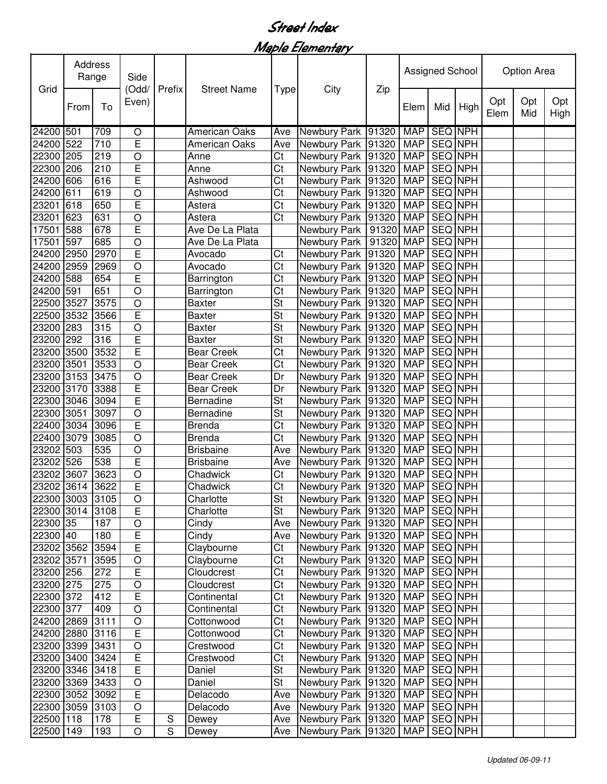## Street Index

Maple Elementary

| Grid            | Address<br>Range |      | Side<br>(Odd/  | Prefix | <b>Street Name</b>   |                          |                                      |       | <b>Assigned School</b> |                |     | Option Area |             |            |             |
|-----------------|------------------|------|----------------|--------|----------------------|--------------------------|--------------------------------------|-------|------------------------|----------------|-----|-------------|-------------|------------|-------------|
|                 | From             | To   | Even)          |        |                      |                          | <b>Type</b>                          | City  | Zip                    | Elem           | Mid | High        | Opt<br>Elem | Opt<br>Mid | Opt<br>High |
| 24200 501       |                  | 709  | O              |        | <b>American Oaks</b> | Ave                      | <b>Newbury Park</b>                  | 91320 | <b>MAP</b>             | <b>SEQ NPH</b> |     |             |             |            |             |
| 24200 522       |                  | 710  | $\overline{E}$ |        | <b>American Oaks</b> | Ave                      | Newbury Park                         | 91320 | <b>MAP</b>             | <b>SEQ NPH</b> |     |             |             |            |             |
| 22300 205       |                  | 219  | $\circ$        |        | Anne                 | Ct                       | Newbury Park                         | 91320 | <b>MAP</b>             | <b>SEQ NPH</b> |     |             |             |            |             |
| 22300 206       |                  | 210  | $\overline{E}$ |        | Anne                 | $\overline{\text{C}t}$   | Newbury Park                         | 91320 | <b>MAP</b>             | <b>SEQ NPH</b> |     |             |             |            |             |
| 24200           | 606              | 616  | E              |        | Ashwood              | Ct                       | Newbury Park                         | 91320 | <b>MAP</b>             | <b>SEQ NPH</b> |     |             |             |            |             |
| 24200           | 611              | 619  | O              |        | Ashwood              | Ct                       | Newbury Park                         | 91320 | <b>MAP</b>             | <b>SEQ NPH</b> |     |             |             |            |             |
| 23201           | 618              | 650  | $\overline{E}$ |        | Astera               | $\overline{\text{C}t}$   | Newbury Park                         | 91320 | <b>MAP</b>             | <b>SEQ NPH</b> |     |             |             |            |             |
| 23201           | 623              | 631  | O              |        | Astera               | $\overline{\text{C}t}$   | Newbury Park                         | 91320 | <b>MAP</b>             | <b>SEQ NPH</b> |     |             |             |            |             |
| 17501           | 588              | 678  | E              |        | Ave De La Plata      |                          | Newbury Park                         | 91320 | <b>MAP</b>             | <b>SEQ NPH</b> |     |             |             |            |             |
| 17501           | 597              | 685  | O              |        | Ave De La Plata      |                          | Newbury Park                         | 91320 | <b>MAP</b>             | <b>SEQ NPH</b> |     |             |             |            |             |
| 24200 2950      |                  | 2970 | E              |        | Avocado              | Ct                       | Newbury Park                         | 91320 | <b>MAP</b>             | SEQ NPH        |     |             |             |            |             |
| 24200 2959      |                  | 2969 | O              |        | Avocado              | Ct                       | Newbury Park                         | 91320 | <b>MAP</b>             | SEQ NPH        |     |             |             |            |             |
| 24200 588       |                  | 654  | E              |        | Barrington           | Ct                       | Newbury Park                         | 91320 | <b>MAP</b>             | SEQ NPH        |     |             |             |            |             |
| 24200 591       |                  | 651  | $\circ$        |        | Barrington           | Ct                       | Newbury Park                         | 91320 | <b>MAP</b>             | SEQ NPH        |     |             |             |            |             |
| 22500 3527      |                  | 3575 | $\circ$        |        | Baxter               | St                       | Newbury Park                         | 91320 | <b>MAP</b>             | <b>SEQ NPH</b> |     |             |             |            |             |
| 22500 3532      |                  | 3566 | E              |        | Baxter               | St                       | Newbury Park 91320                   |       | <b>MAP</b>             | SEQ NPH        |     |             |             |            |             |
| 23200 283       |                  | 315  | $\circ$        |        | <b>Baxter</b>        | $\overline{\mathsf{St}}$ | Newbury Park 91320                   |       | <b>MAP</b>             | <b>SEQ</b> NPH |     |             |             |            |             |
| 23200 292       |                  | 316  | E              |        | <b>Baxter</b>        | St                       | Newbury Park 91320                   |       | <b>MAP</b>             | SEQ NPH        |     |             |             |            |             |
| 23200 3500      |                  | 3532 | E              |        | <b>Bear Creek</b>    | Ct                       | Newbury Park                         | 91320 | <b>MAP</b>             | <b>SEQ NPH</b> |     |             |             |            |             |
| 23200 3501      |                  | 3533 | $\circ$        |        | <b>Bear Creek</b>    | Ct                       | Newbury Park                         | 91320 | <b>MAP</b>             | <b>SEQ NPH</b> |     |             |             |            |             |
| 23200 3153      |                  | 3475 | $\circ$        |        | <b>Bear Creek</b>    | Dr                       | Newbury Park                         | 91320 | <b>MAP</b>             | SEQ NPH        |     |             |             |            |             |
| 23200 3170      |                  | 3388 | E              |        | <b>Bear Creek</b>    | Dr                       | Newbury Park                         | 91320 | <b>MAP</b>             | SEQ NPH        |     |             |             |            |             |
| 22300 3046      |                  | 3094 | $\overline{E}$ |        | Bernadine            | <b>St</b>                | Newbury Park 91320                   |       | <b>MAP</b>             | SEQ NPH        |     |             |             |            |             |
| 22300 3051      |                  | 3097 | O              |        | Bernadine            | St                       | Newbury Park 91320                   |       | <b>MAP</b>             | SEQ NPH        |     |             |             |            |             |
| 22400 3034      |                  | 3096 | E              |        | Brenda               | Ct                       | Newbury Park 91320                   |       | <b>MAP</b>             | SEQ NPH        |     |             |             |            |             |
| 22400 3079      |                  | 3085 | $\bigcirc$     |        | <b>Brenda</b>        | Ct                       | Newbury Park                         | 91320 | <b>MAP</b>             | <b>SEQ NPH</b> |     |             |             |            |             |
| 23202 503       |                  | 535  | $\bigcirc$     |        | <b>Brisbaine</b>     | Ave                      | Newbury Park                         | 91320 | <b>MAP</b>             | <b>SEQ NPH</b> |     |             |             |            |             |
| 23202 526       |                  | 538  | $\mathsf E$    |        | <b>Brisbaine</b>     | Ave                      | Newbury Park                         | 91320 | <b>MAP</b>             | SEQ NPH        |     |             |             |            |             |
| 23202 3607      |                  | 3623 | O              |        | Chadwick             | Ct                       | Newbury Park                         | 91320 | <b>MAP</b>             | SEQ NPH        |     |             |             |            |             |
| 23202 3614      |                  | 3622 | $\mathsf E$    |        | Chadwick             | $\overline{\text{C}t}$   | Newbury Park 91320                   |       | <b>MAP</b>             | <b>SEQ NPH</b> |     |             |             |            |             |
| 22300 3003 3105 |                  |      | $\overline{O}$ |        | Charlotte            | St                       | Newbury Park 91320 MAP SEQ NPH       |       |                        |                |     |             |             |            |             |
| 22300 3014 3108 |                  |      | E              |        | Charlotte            | St                       | Newbury Park   91320   MAP   SEQ NPH |       |                        |                |     |             |             |            |             |
| 22300 35        |                  | 187  | $\mathsf O$    |        | Cindy                | Ave                      | Newbury Park 91320                   |       |                        | MAP SEQ NPH    |     |             |             |            |             |
| 22300 40        |                  | 180  | $\overline{E}$ |        | Cindy                | Ave                      | Newbury Park 91320                   |       | <b>MAP</b>             | SEQ NPH        |     |             |             |            |             |
| 23202 3562      |                  | 3594 | $\overline{E}$ |        | Claybourne           | Ct                       | Newbury Park 91320                   |       | <b>MAP</b>             | SEQ NPH        |     |             |             |            |             |
| 23202 3571      |                  | 3595 | $\bigcirc$     |        | Claybourne           | Ct                       | Newbury Park 91320                   |       | <b>MAP</b>             | SEQ NPH        |     |             |             |            |             |
| 23200 256       |                  | 272  | $\mathsf E$    |        | Cloudcrest           | Ct                       | Newbury Park 91320                   |       | <b>MAP</b>             | SEQ NPH        |     |             |             |            |             |
| 23200 275       |                  | 275  | O              |        | Cloudcrest           | Ct                       | Newbury Park 91320                   |       | <b>MAP</b>             | SEQ NPH        |     |             |             |            |             |
| 22300 372       |                  | 412  | $\mathsf E$    |        | Continental          | Ct                       | Newbury Park 91320                   |       | <b>MAP</b>             | SEQ NPH        |     |             |             |            |             |
| 22300 377       |                  | 409  | O              |        | Continental          | Ct                       | Newbury Park 91320                   |       | <b>MAP</b>             | SEQ NPH        |     |             |             |            |             |
| 24200 2869      |                  | 3111 | $\circ$        |        | Cottonwood           | Ct                       | Newbury Park 91320                   |       | <b>MAP</b>             | SEQ NPH        |     |             |             |            |             |
| 24200 2880      |                  | 3116 | $\mathsf E$    |        | Cottonwood           | Ct                       | Newbury Park 91320                   |       | <b>MAP</b>             | SEQ NPH        |     |             |             |            |             |
| 23200 3399      |                  | 3431 | $\circ$        |        | Crestwood            | Ct                       | Newbury Park 91320                   |       | MAP                    | SEQ NPH        |     |             |             |            |             |
| 23200 3400      |                  | 3424 | E              |        | Crestwood            | Ct                       | Newbury Park 91320                   |       | <b>MAP</b>             | SEQ NPH        |     |             |             |            |             |
| 23200 3346      |                  | 3418 | $\mathsf E$    |        | Daniel               | St                       | Newbury Park 91320                   |       | <b>MAP</b>             | <b>SEQ NPH</b> |     |             |             |            |             |
| 23200 3369      |                  | 3433 | $\bigcirc$     |        | Daniel               | $\overline{\mathsf{St}}$ | Newbury Park 91320                   |       | <b>MAP</b>             | SEQ NPH        |     |             |             |            |             |
| 22300 3052      |                  | 3092 | E              |        | Delacodo             | Ave                      | Newbury Park 91320                   |       | <b>MAP</b>             | SEQ NPH        |     |             |             |            |             |
| 22300 3059      |                  | 3103 | $\bigcirc$     |        | Delacodo             | Ave                      | Newbury Park 91320                   |       | <b>MAP</b>             | <b>SEQ NPH</b> |     |             |             |            |             |
| 22500 118       |                  | 178  | E              | S      | Dewey                | Ave                      | Newbury Park 91320                   |       | <b>MAP</b>             | SEQ NPH        |     |             |             |            |             |
| 22500 149       |                  | 193  | O              | S      | Dewey                | Ave                      | Newbury Park 91320                   |       | <b>MAP</b>             | SEQ NPH        |     |             |             |            |             |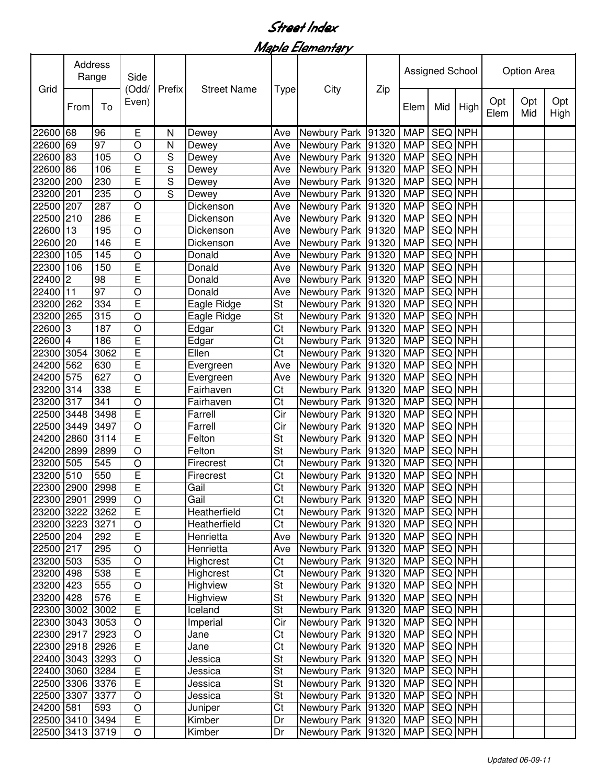## Street Index

Maple Elementary

|                 | Address<br>Range |                 | Side<br>(Odd/  |        |                    |                          |                                |       | Assigned School |                |      | <b>Option Area</b> |            |             |  |
|-----------------|------------------|-----------------|----------------|--------|--------------------|--------------------------|--------------------------------|-------|-----------------|----------------|------|--------------------|------------|-------------|--|
| Grid            | From             | To              | Even)          | Prefix | <b>Street Name</b> | <b>Type</b>              | City                           | Zip   | Elem            | Mid            | High | Opt<br>Elem        | Opt<br>Mid | Opt<br>High |  |
| 22600 68        |                  | 96              | Ε              | N      | Dewey              | Ave                      | Newbury Park 91320             |       | <b>MAP</b>      | SEQ NPH        |      |                    |            |             |  |
| 22600 69        |                  | 97              | O              | Ν      | Dewey              | Ave                      | Newbury Park 91320             |       | <b>MAP</b>      | <b>SEQ NPH</b> |      |                    |            |             |  |
| 22600           | 83               | 105             | O              | S      | Dewey              | Ave                      | Newbury Park 91320             |       | <b>MAP</b>      | SEQ NPH        |      |                    |            |             |  |
| 22600           | 86               | 106             | E              | S      | Dewey              | Ave                      | Newbury Park 91320             |       | <b>MAP</b>      | SEQ NPH        |      |                    |            |             |  |
| 23200 200       |                  | 230             | E              | S      | Dewey              | Ave                      | Newbury Park 91320             |       | <b>MAP</b>      | SEQ NPH        |      |                    |            |             |  |
| 23200 201       |                  | 235             | O              | S      | Dewey              | Ave                      | Newbury Park 91320             |       | <b>MAP</b>      | SEQ NPH        |      |                    |            |             |  |
| 22500 207       |                  | 287             | O              |        | Dickenson          | Ave                      | Newbury Park 91320             |       | <b>MAP</b>      | SEQ NPH        |      |                    |            |             |  |
| 22500 210       |                  | 286             | E              |        | Dickenson          | Ave                      | Newbury Park                   | 91320 | <b>MAP</b>      | SEQ NPH        |      |                    |            |             |  |
| 22600 13        |                  | 195             | O              |        | Dickenson          | Ave                      | Newbury Park 91320             |       | <b>MAP</b>      | SEQ NPH        |      |                    |            |             |  |
| 22600 20        |                  | 146             | $\overline{E}$ |        | Dickenson          | Ave                      | Newbury Park 91320             |       | <b>MAP</b>      | SEQ NPH        |      |                    |            |             |  |
| 22300 105       |                  | 145             | O              |        | Donald             | Ave                      | Newbury Park 91320             |       | <b>MAP</b>      | <b>SEQ NPH</b> |      |                    |            |             |  |
| 22300 106       |                  | 150             | E              |        | Donald             | Ave                      | Newbury Park 91320             |       | <b>MAP</b>      | SEQ NPH        |      |                    |            |             |  |
| 22400 2         |                  | 98              | E              |        | Donald             | Ave                      | Newbury Park 91320             |       | <b>MAP</b>      | <b>SEQ NPH</b> |      |                    |            |             |  |
| 22400 11        |                  | $\overline{97}$ | $\bigcirc$     |        | Donald             | Ave                      | Newbury Park 91320             |       | <b>MAP</b>      | SEQ NPH        |      |                    |            |             |  |
| 23200 262       |                  | 334             | E              |        | Eagle Ridge        | St                       | Newbury Park 91320             |       | <b>MAP</b>      | <b>SEQ NPH</b> |      |                    |            |             |  |
| 23200 265       |                  | 315             | $\circ$        |        | Eagle Ridge        | $\overline{\mathsf{St}}$ | Newbury Park 91320             |       | <b>MAP</b>      | <b>SEQ NPH</b> |      |                    |            |             |  |
| 22600 3         |                  | 187             | O              |        | Edgar              | Ct                       | Newbury Park 91320             |       | <b>MAP</b>      | SEQ NPH        |      |                    |            |             |  |
| 22600 4         |                  | 186             | E              |        | Edgar              | $\overline{\text{Ct}}$   | Newbury Park 91320             |       | <b>MAP</b>      | <b>SEQ NPH</b> |      |                    |            |             |  |
| 22300           | 3054             | 3062            | E              |        | Ellen              | Ct                       | Newbury Park 91320             |       | <b>MAP</b>      | <b>SEQ NPH</b> |      |                    |            |             |  |
| 24200           | 562              | 630             | E              |        | Evergreen          | Ave                      | Newbury Park 91320             |       | <b>MAP</b>      | <b>SEQ NPH</b> |      |                    |            |             |  |
| 24200           | 575              | 627             | O              |        | Evergreen          | Ave                      | Newbury Park 91320             |       | <b>MAP</b>      | <b>SEQ NPH</b> |      |                    |            |             |  |
| 23200 314       |                  | 338             | E              |        | Fairhaven          | Ct                       | Newbury Park 91320             |       | <b>MAP</b>      | <b>SEQ NPH</b> |      |                    |            |             |  |
| 23200 317       |                  | 341             | O              |        | Fairhaven          | Ct                       | Newbury Park 91320             |       | <b>MAP</b>      | <b>SEQ NPH</b> |      |                    |            |             |  |
| 22500 3448      |                  | 3498            | $\overline{E}$ |        | Farrell            | Cir                      | Newbury Park 91320             |       | <b>MAP</b>      | <b>SEQ NPH</b> |      |                    |            |             |  |
| 22500 3449      |                  | 3497            | O              |        | Farrell            | Cir                      | Newbury Park                   | 91320 | <b>MAP</b>      | SEQ NPH        |      |                    |            |             |  |
| 24200 2860      |                  | 3114            | E              |        | Felton             | St                       | Newbury Park 91320             |       | <b>MAP</b>      | <b>SEQ NPH</b> |      |                    |            |             |  |
| 24200 2899      |                  | 2899            | O              |        | Felton             | $\overline{\mathsf{St}}$ | Newbury Park 91320             |       | <b>MAP</b>      | SEQ NPH        |      |                    |            |             |  |
| 23200 505       |                  | 545             | O              |        | Firecrest          | Ct                       | Newbury Park 91320             |       | <b>MAP</b>      | SEQ NPH        |      |                    |            |             |  |
| 23200 510       |                  | 550             | E              |        | Firecrest          | Ct                       | Newbury Park 91320             |       | <b>MAP</b>      | SEQ NPH        |      |                    |            |             |  |
| 22300 2900      |                  | 2998            | E              |        | Gail               | Ct                       | Newbury Park 91320             |       | <b>MAP</b>      | <b>SEQ NPH</b> |      |                    |            |             |  |
| 22300 2901 2999 |                  |                 | $\overline{O}$ |        | Gail               | $\overline{\text{Ct}}$   | Newbury Park 91320 MAP SEQ NPH |       |                 |                |      |                    |            |             |  |
| 23200 3222      |                  | 3262            | $\overline{E}$ |        | Heatherfield       | Ct                       | Newbury Park   91320           |       | <b>MAP</b>      | SEQ NPH        |      |                    |            |             |  |
| 23200 3223      |                  | 3271            | O              |        | Heatherfield       | Ct                       | Newbury Park 91320             |       | <b>MAP</b>      | SEQ NPH        |      |                    |            |             |  |
| 22500 204       |                  | 292             | E              |        | Henrietta          | Ave                      | Newbury Park 91320             |       | <b>MAP</b>      | SEQ NPH        |      |                    |            |             |  |
| 22500 217       |                  | 295             | O              |        | Henrietta          | Ave                      | Newbury Park 91320             |       | <b>MAP</b>      | SEQ NPH        |      |                    |            |             |  |
| 23200 503       |                  | 535             | O              |        | Highcrest          | Ct                       | Newbury Park 91320             |       | <b>MAP</b>      | SEQ NPH        |      |                    |            |             |  |
| 23200 498       |                  | 538             | $\overline{E}$ |        | Highcrest          | Ct                       | Newbury Park 91320             |       | <b>MAP</b>      | SEQ NPH        |      |                    |            |             |  |
| 23200 423       |                  | 555             | O              |        | Highview           | St                       | Newbury Park 91320             |       | <b>MAP</b>      | SEQ NPH        |      |                    |            |             |  |
| 23200 428       |                  | 576             | $\overline{E}$ |        | Highview           | St                       | Newbury Park 91320             |       | <b>MAP</b>      | SEQ NPH        |      |                    |            |             |  |
| 22300 3002      |                  | 3002            | E              |        | Iceland            | St                       | Newbury Park 91320             |       | <b>MAP</b>      | SEQ NPH        |      |                    |            |             |  |
| 22300 3043      |                  | 3053            | $\mathsf O$    |        | Imperial           | Cir                      | Newbury Park 91320             |       | <b>MAP</b>      | SEQ NPH        |      |                    |            |             |  |
| 22300 2917      |                  | 2923            | O              |        | Jane               | Ct                       | Newbury Park 91320             |       | <b>MAP</b>      | SEQ NPH        |      |                    |            |             |  |
| 22300 2918      |                  | 2926            | $\overline{E}$ |        | Jane               | $\overline{\text{C}t}$   | Newbury Park 91320             |       | <b>MAP</b>      | SEQ NPH        |      |                    |            |             |  |
| 22400 3043      |                  | 3293            | O              |        | Jessica            | St                       | Newbury Park 91320             |       | <b>MAP</b>      | SEQ NPH        |      |                    |            |             |  |
| 22400 3060      |                  | 3284            | E              |        | Jessica            | $\overline{\mathsf{St}}$ | Newbury Park 91320             |       | <b>MAP</b>      | SEQ NPH        |      |                    |            |             |  |
| 22500 3306      |                  | 3376            | $\overline{E}$ |        | Jessica            | $\overline{\mathsf{St}}$ | Newbury Park 91320             |       | <b>MAP</b>      | SEQ NPH        |      |                    |            |             |  |
| 22500 3307      |                  | 3377            | $\mathsf O$    |        | Jessica            | $\overline{\mathsf{St}}$ | Newbury Park 91320             |       | <b>MAP</b>      | SEQ NPH        |      |                    |            |             |  |
| 24200 581       |                  | 593             | $\mathsf O$    |        | Juniper            | Ct                       | Newbury Park 91320             |       | <b>MAP</b>      | SEQ NPH        |      |                    |            |             |  |
| 22500 3410      |                  | 3494            | $\mathsf E$    |        | Kimber             | Dr                       | Newbury Park 91320             |       | <b>MAP</b>      | SEQ NPH        |      |                    |            |             |  |
| 22500 3413 3719 |                  |                 | $\mathsf O$    |        | Kimber             | Dr                       | Newbury Park 91320             |       | <b>MAP</b>      | SEQ NPH        |      |                    |            |             |  |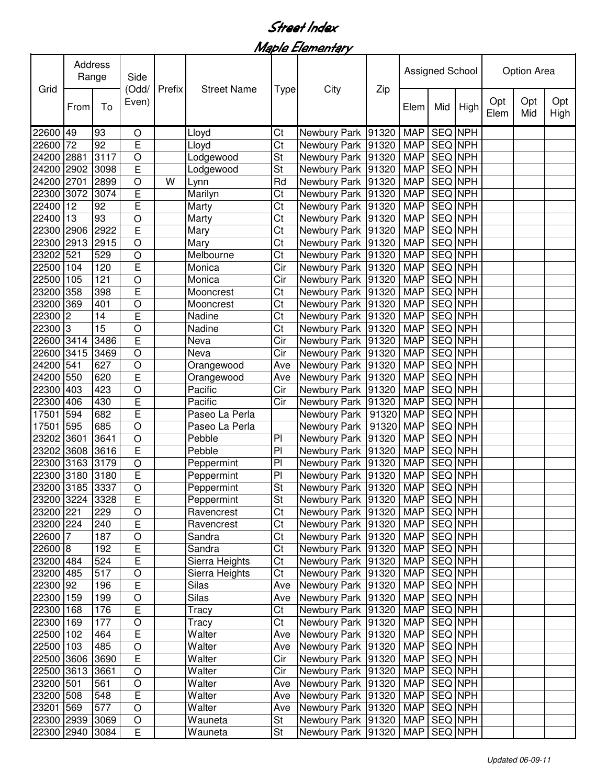## Street Index

Maple Elementary

|                 | Address<br>Range<br>Grid |      | Side           | Prefix | <b>Street Name</b> |                         |                                |       | Assigned School |                |      | Option Area |            |             |
|-----------------|--------------------------|------|----------------|--------|--------------------|-------------------------|--------------------------------|-------|-----------------|----------------|------|-------------|------------|-------------|
|                 | From                     | To   | (Odd/<br>Even) |        |                    | <b>Type</b>             | City                           | Zip   | Elem            | Mid            | High | Opt<br>Elem | Opt<br>Mid | Opt<br>High |
| 22600 49        |                          | 93   | O              |        | Lloyd              | Ct                      | Newbury Park                   | 91320 | <b>MAP</b>      | SEQ NPH        |      |             |            |             |
| 22600 72        |                          | 92   | $\overline{E}$ |        | Lloyd              | Ct                      | Newbury Park                   | 91320 | <b>MAP</b>      | SEQ NPH        |      |             |            |             |
| 24200           | 2881                     | 3117 | O              |        | Lodgewood          | <b>St</b>               | Newbury Park                   | 91320 | <b>MAP</b>      | SEQ NPH        |      |             |            |             |
| 24200 2902      |                          | 3098 | E              |        | Lodgewood          | St                      | Newbury Park 91320             |       | <b>MAP</b>      | SEQ NPH        |      |             |            |             |
| 24200 2701      |                          | 2899 | $\circ$        | W      | Lynn               | Rd                      | Newbury Park 91320             |       | <b>MAP</b>      | SEQ NPH        |      |             |            |             |
| 22300 3072      |                          | 3074 | E              |        | Marilyn            | Ct                      | Newbury Park 91320             |       | <b>MAP</b>      | SEQ NPH        |      |             |            |             |
| 22400 12        |                          | 92   | E              |        | Marty              | Ct                      | Newbury Park                   | 91320 | <b>MAP</b>      | SEQ NPH        |      |             |            |             |
| 22400 13        |                          | 93   | O              |        | Marty              | Ct                      | Newbury Park                   | 91320 | <b>MAP</b>      | SEQ NPH        |      |             |            |             |
| 22300 2906      |                          | 2922 | E              |        | Mary               | Ct                      | Newbury Park                   | 91320 | <b>MAP</b>      | SEQ NPH        |      |             |            |             |
| 22300 2913      |                          | 2915 | O              |        | Mary               | Ct                      | Newbury Park                   | 91320 | <b>MAP</b>      | <b>SEQ NPH</b> |      |             |            |             |
| 23202 521       |                          | 529  | O              |        | Melbourne          | Ct                      | Newbury Park                   | 91320 | <b>MAP</b>      | SEQ NPH        |      |             |            |             |
| 22500 104       |                          | 120  | E              |        | Monica             | Cir                     | Newbury Park                   | 91320 | <b>MAP</b>      | <b>SEQ</b> NPH |      |             |            |             |
| 22500 105       |                          | 121  | O              |        | Monica             | Cir                     | Newbury Park 91320             |       | <b>MAP</b>      | <b>SEQ NPH</b> |      |             |            |             |
| 23200 358       |                          | 398  | $\overline{E}$ |        | Mooncrest          | Ct                      | Newbury Park                   | 91320 | <b>MAP</b>      | <b>SEQ NPH</b> |      |             |            |             |
| 23200 369       |                          | 401  | O              |        | Mooncrest          | $\overline{\text{Ct}}$  | Newbury Park                   | 91320 | <b>MAP</b>      | <b>SEQ NPH</b> |      |             |            |             |
| 22300           | 2                        | 14   | E              |        | Nadine             | $\overline{\text{Ct}}$  | Newbury Park                   | 91320 | <b>MAP</b>      | <b>SEQ NPH</b> |      |             |            |             |
| 22300 3         |                          | 15   | O              |        | Nadine             | Ct                      | Newbury Park                   | 91320 | <b>MAP</b>      | SEQ NPH        |      |             |            |             |
| 22600 3414      |                          | 3486 | $\overline{E}$ |        | Neva               | Cir                     | Newbury Park                   | 91320 | <b>MAP</b>      | <b>SEQ NPH</b> |      |             |            |             |
| 22600           | 3415                     | 3469 | $\circ$        |        | Neva               | Cir                     | Newbury Park                   | 91320 | <b>MAP</b>      | <b>SEQ NPH</b> |      |             |            |             |
| 24200           | 541                      | 627  | $\circ$        |        | Orangewood         | Ave                     | Newbury Park                   | 91320 | <b>MAP</b>      | <b>SEQ NPH</b> |      |             |            |             |
| 24200 550       |                          | 620  | $\overline{E}$ |        | Orangewood         | Ave                     | Newbury Park                   | 91320 | <b>MAP</b>      | SEQ NPH        |      |             |            |             |
| 22300 403       |                          | 423  | O              |        | Pacific            | $\overline{\text{Cir}}$ | Newbury Park                   | 91320 | <b>MAP</b>      | <b>SEQ NPH</b> |      |             |            |             |
| 22300           | 406                      | 430  | E              |        | Pacific            | Cir                     | Newbury Park                   | 91320 | <b>MAP</b>      | <b>SEQ NPH</b> |      |             |            |             |
| 17501           | 594                      | 682  | E              |        | Paseo La Perla     |                         | Newbury Park                   | 91320 | <b>MAP</b>      | <b>SEQ NPH</b> |      |             |            |             |
| 17501 595       |                          | 685  | O              |        | Paseo La Perla     |                         | Newbury Park                   | 91320 | <b>MAP</b>      | SEQ NPH        |      |             |            |             |
| 23202 3601      |                          | 3641 | $\circ$        |        | Pebble             | PI                      | Newbury Park                   | 91320 | <b>MAP</b>      | SEQ NPH        |      |             |            |             |
| 23202 3608      |                          | 3616 | E              |        | Pebble             | $\overline{P}$          | Newbury Park                   | 91320 | <b>MAP</b>      | <b>SEQ NPH</b> |      |             |            |             |
| 22300 3163      |                          | 3179 | O              |        | Peppermint         | P <sub>1</sub>          | Newbury Park                   | 91320 | <b>MAP</b>      | SEQ NPH        |      |             |            |             |
| 22300 3180      |                          | 3180 | E              |        | Peppermint         | PI                      | Newbury Park 91320             |       | <b>MAP</b>      | <b>SEQ NPH</b> |      |             |            |             |
| 23200 3185 3337 |                          |      | $\bigcirc$     |        | Peppermint         | St                      | Newbury Park 91320             |       | <b>MAP</b>      | <b>SEQ NPH</b> |      |             |            |             |
| 23200 3224 3328 |                          |      | $\overline{E}$ |        | Peppermint         | St                      | Newbury Park 91320 MAP SEQ NPH |       |                 |                |      |             |            |             |
| 23200 221       |                          | 229  | $\bigcirc$     |        | Ravencrest         | Ct                      | Newbury Park   91320           |       | <b>MAP</b>      | SEQ NPH        |      |             |            |             |
| 23200 224       |                          | 240  | E              |        | Ravencrest         | Ct                      | Newbury Park 91320             |       | MAP             | SEQ NPH        |      |             |            |             |
| 22600 7         |                          | 187  | $\circ$        |        | Sandra             | Ct                      | Newbury Park 91320             |       | <b>MAP</b>      | SEQ NPH        |      |             |            |             |
| 22600 8         |                          | 192  | $\overline{E}$ |        | Sandra             | Ct                      | Newbury Park 91320             |       | <b>MAP</b>      | SEQ NPH        |      |             |            |             |
| 23200 484       |                          | 524  | $\overline{E}$ |        | Sierra Heights     | Ct                      | Newbury Park 91320             |       | <b>MAP</b>      | SEQ NPH        |      |             |            |             |
| 23200 485       |                          | 517  | $\circ$        |        | Sierra Heights     | Ct                      | Newbury Park 91320             |       | <b>MAP</b>      | SEQ NPH        |      |             |            |             |
| 22300 92        |                          | 196  | $\overline{E}$ |        | <b>Silas</b>       | Ave                     | Newbury Park 91320             |       | <b>MAP</b>      | SEQ NPH        |      |             |            |             |
| 22300 159       |                          | 199  | O              |        | Silas              | Ave                     | Newbury Park 91320             |       | <b>MAP</b>      | SEQ NPH        |      |             |            |             |
| 22300 168       |                          | 176  | $\mathsf E$    |        | Tracy              | Ct                      | Newbury Park 91320             |       | <b>MAP</b>      | SEQ NPH        |      |             |            |             |
| 22300 169       |                          | 177  | $\hbox{O}$     |        | Tracy              | Ct                      | Newbury Park 91320             |       | <b>MAP</b>      | <b>SEQ NPH</b> |      |             |            |             |
| 22500 102       |                          | 464  | $\overline{E}$ |        | Walter             | Ave                     | Newbury Park                   | 91320 | <b>MAP</b>      | SEQ NPH        |      |             |            |             |
| 22500 103       |                          | 485  | $\bigcirc$     |        | Walter             | Ave                     | Newbury Park 91320             |       | <b>MAP</b>      | SEQ NPH        |      |             |            |             |
| 22500 3606      |                          | 3690 | $\mathsf E$    |        | Walter             | Cir                     | Newbury Park 91320             |       | <b>MAP</b>      | SEQ NPH        |      |             |            |             |
| 22500 3613      |                          | 3661 | $\circ$        |        | Walter             | $\overline{\text{Cir}}$ | Newbury Park 91320             |       | <b>MAP</b>      | SEQ NPH        |      |             |            |             |
| 23200 501       |                          | 561  | $\mathsf O$    |        | Walter             | Ave                     | Newbury Park 91320             |       | <b>MAP</b>      | SEQ NPH        |      |             |            |             |
| 23200 508       |                          | 548  | $\overline{E}$ |        | Walter             | Ave                     | Newbury Park 91320             |       | <b>MAP</b>      | SEQ NPH        |      |             |            |             |
| 23201 569       |                          | 577  | $\bigcirc$     |        | Walter             | Ave                     | Newbury Park 91320             |       | <b>MAP</b>      | SEQ NPH        |      |             |            |             |
| 22300 2939      |                          | 3069 | $\hbox{O}$     |        | Wauneta            | St                      | Newbury Park 91320             |       | MAP             | SEQ NPH        |      |             |            |             |
| 22300 2940      |                          | 3084 | E              |        | Wauneta            | St                      | Newbury Park 91320             |       | <b>MAP</b>      | SEQ NPH        |      |             |            |             |